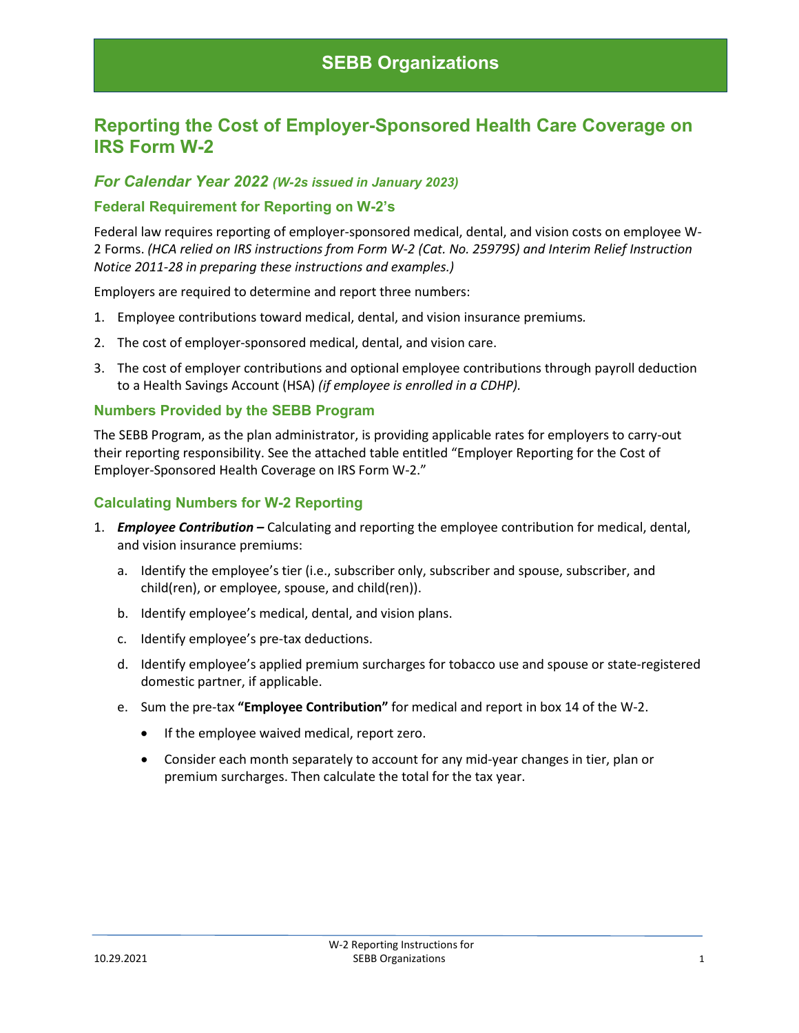# **Reporting the Cost of Employer-Sponsored Health Care Coverage on IRS Form W-2**

### *For Calendar Year 2022 (W-2s issued in January 2023)*

#### **Federal Requirement for Reporting on W-2's**

Federal law requires reporting of employer-sponsored medical, dental, and vision costs on employee W-2 Forms. *(HCA relied on IRS instructions from Form W-2 (Cat. No. 25979S) and Interim Relief Instruction Notice 2011-28 in preparing these instructions and examples.)*

Employers are required to determine and report three numbers:

- 1. Employee contributions toward medical, dental, and vision insurance premiums*.*
- 2. The cost of employer-sponsored medical, dental, and vision care.
- 3. The cost of employer contributions and optional employee contributions through payroll deduction to a Health Savings Account (HSA) *(if employee is enrolled in a CDHP).*

#### **Numbers Provided by the SEBB Program**

The SEBB Program, as the plan administrator, is providing applicable rates for employers to carry-out their reporting responsibility. See the attached table entitled "Employer Reporting for the Cost of Employer-Sponsored Health Coverage on IRS Form W-2."

#### **Calculating Numbers for W-2 Reporting**

- 1. *Employee Contribution –* Calculating and reporting the employee contribution for medical, dental, and vision insurance premiums:
	- a. Identify the employee's tier (i.e., subscriber only, subscriber and spouse, subscriber, and child(ren), or employee, spouse, and child(ren)).
	- b. Identify employee's medical, dental, and vision plans.
	- c. Identify employee's pre-tax deductions.
	- d. Identify employee's applied premium surcharges for tobacco use and spouse or state-registered domestic partner, if applicable.
	- e. Sum the pre-tax **"Employee Contribution"** for medical and report in box 14 of the W-2.
		- If the employee waived medical, report zero.
		- Consider each month separately to account for any mid-year changes in tier, plan or premium surcharges. Then calculate the total for the tax year.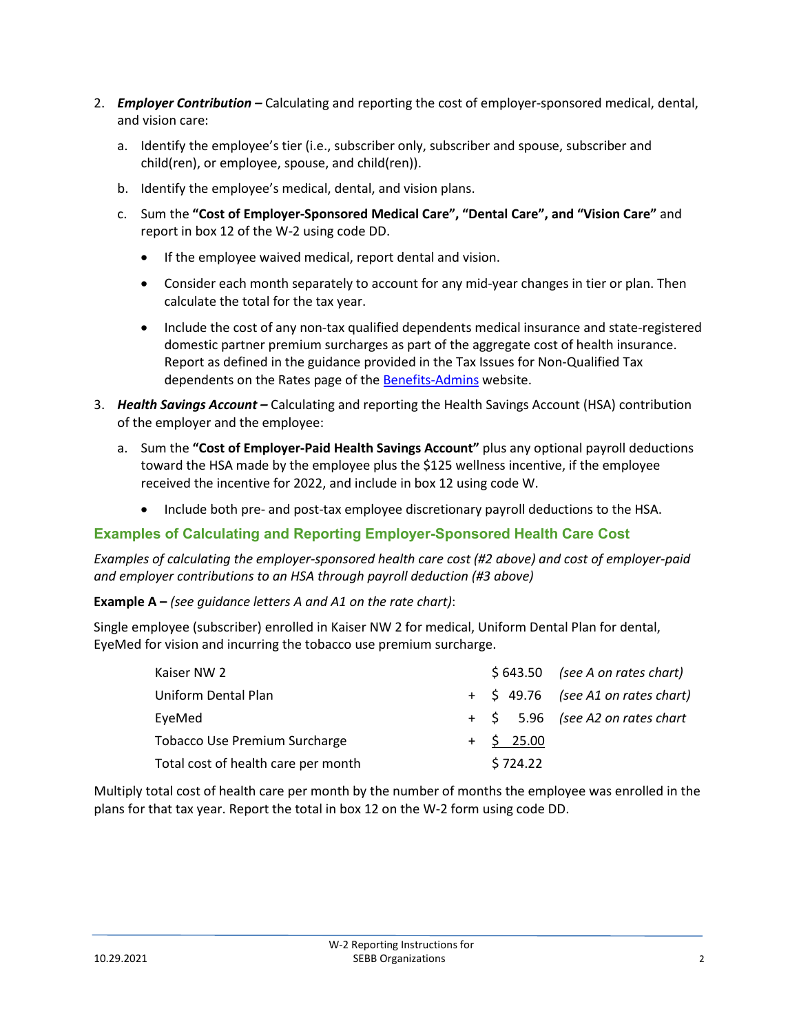- 2. *Employer Contribution –* Calculating and reporting the cost of employer-sponsored medical, dental, and vision care:
	- a. Identify the employee's tier (i.e., subscriber only, subscriber and spouse, subscriber and child(ren), or employee, spouse, and child(ren)).
	- b. Identify the employee's medical, dental, and vision plans.
	- c. Sum the **"Cost of Employer-Sponsored Medical Care", "Dental Care", and "Vision Care"** and report in box 12 of the W-2 using code DD.
		- If the employee waived medical, report dental and vision.
		- Consider each month separately to account for any mid-year changes in tier or plan. Then calculate the total for the tax year.
		- Include the cost of any non-tax qualified dependents medical insurance and state-registered domestic partner premium surcharges as part of the aggregate cost of health insurance. Report as defined in the guidance provided in the Tax Issues for Non-Qualified Tax dependents on the Rates page of th[e Benefits-Admins](https://www.hca.wa.gov/sebb-benefits-admins/rates-information) website.
- 3. *Health Savings Account –* Calculating and reporting the Health Savings Account (HSA) contribution of the employer and the employee:
	- a. Sum the **"Cost of Employer-Paid Health Savings Account"** plus any optional payroll deductions toward the HSA made by the employee plus the \$125 wellness incentive, if the employee received the incentive for 2022, and include in box 12 using code W.
		- Include both pre- and post-tax employee discretionary payroll deductions to the HSA.

## **Examples of Calculating and Reporting Employer-Sponsored Health Care Cost**

*Examples of calculating the employer-sponsored health care cost (#2 above) and cost of employer-paid and employer contributions to an HSA through payroll deduction (#3 above)*

**Example A –** *(see guidance letters A and A1 on the rate chart)*:

Single employee (subscriber) enrolled in Kaiser NW 2 for medical, Uniform Dental Plan for dental, EyeMed for vision and incurring the tobacco use premium surcharge.

| Kaiser NW 2                          |  | $$643.50$ (see A on rates chart) |                                    |  |  |
|--------------------------------------|--|----------------------------------|------------------------------------|--|--|
| Uniform Dental Plan                  |  |                                  | + \$49.76 (see A1 on rates chart)  |  |  |
| EyeMed                               |  |                                  | $+$ \$ 5.96 (see A2 on rates chart |  |  |
| <b>Tobacco Use Premium Surcharge</b> |  | $+$ \$ 25.00                     |                                    |  |  |
| Total cost of health care per month  |  | \$724.22                         |                                    |  |  |

Multiply total cost of health care per month by the number of months the employee was enrolled in the plans for that tax year. Report the total in box 12 on the W-2 form using code DD.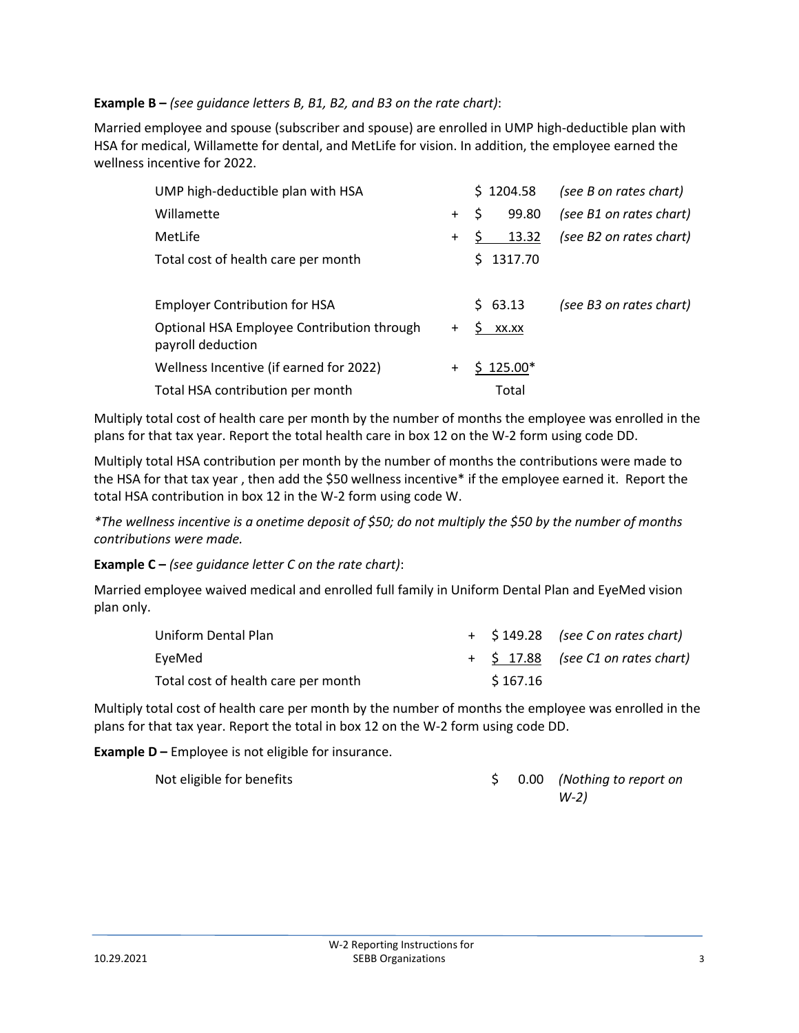### **Example B –** *(see guidance letters B, B1, B2, and B3 on the rate chart)*:

Married employee and spouse (subscriber and spouse) are enrolled in UMP high-deductible plan with HSA for medical, Willamette for dental, and MetLife for vision. In addition, the employee earned the wellness incentive for 2022.

| UMP high-deductible plan with HSA                               |       | \$1204.58     | (see B on rates chart)  |
|-----------------------------------------------------------------|-------|---------------|-------------------------|
| Willamette                                                      | $+$   | 99.80<br>Ś    | (see B1 on rates chart) |
| MetLife                                                         | $\pm$ | 13.32         | (see B2 on rates chart) |
| Total cost of health care per month                             |       | 1317.70<br>S. |                         |
| <b>Employer Contribution for HSA</b>                            |       | \$63.13       | (see B3 on rates chart) |
| Optional HSA Employee Contribution through<br>payroll deduction | $+$   | S.<br>XX.XX   |                         |
| Wellness Incentive (if earned for 2022)                         | $\pm$ | $$125.00*$    |                         |
| Total HSA contribution per month                                |       | Total         |                         |

Multiply total cost of health care per month by the number of months the employee was enrolled in the plans for that tax year. Report the total health care in box 12 on the W-2 form using code DD.

Multiply total HSA contribution per month by the number of months the contributions were made to the HSA for that tax year , then add the \$50 wellness incentive\* if the employee earned it. Report the total HSA contribution in box 12 in the W-2 form using code W.

*\*The wellness incentive is a onetime deposit of \$50; do not multiply the \$50 by the number of months contributions were made.*

**Example C –** *(see guidance letter C on the rate chart)*:

Married employee waived medical and enrolled full family in Uniform Dental Plan and EyeMed vision plan only.

| Uniform Dental Plan                 |          | + \$149.28 (see C on rates chart)    |
|-------------------------------------|----------|--------------------------------------|
| EyeMed                              |          | $+$ \$ 17.88 (see C1 on rates chart) |
| Total cost of health care per month | \$167.16 |                                      |

Multiply total cost of health care per month by the number of months the employee was enrolled in the plans for that tax year. Report the total in box 12 on the W-2 form using code DD.

**Example D –** Employee is not eligible for insurance.

Not eligible for benefits **below by the contract of the set of the S** 0.00 *(Nothing to report on W-2)*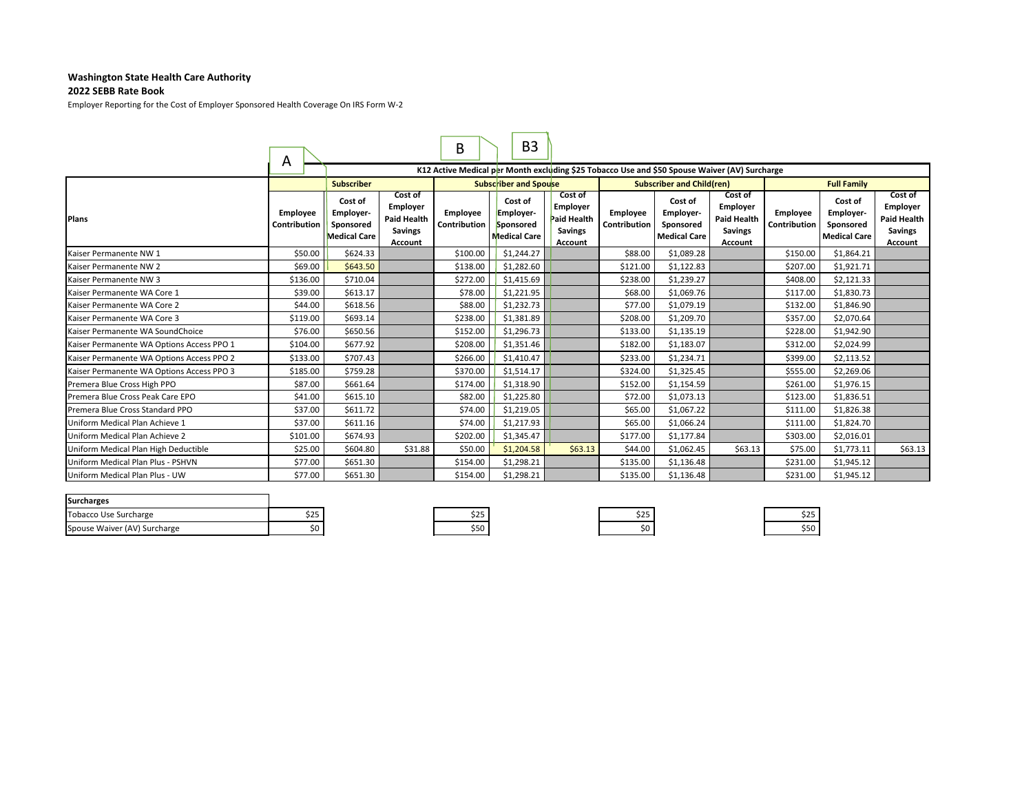#### **Washington State Health Care Authority**

#### **2022 SEBB Rate Book**

Employer Reporting for the Cost of Employer Sponsored Health Coverage On IRS Form W‐2

|                                           | A                        |                                                          |                                                                        | В                        | B <sub>3</sub>                                                                                |                                                                        |                          |                                                                 |                                                                               |                                 |                                                          |                                                                        |  |  |
|-------------------------------------------|--------------------------|----------------------------------------------------------|------------------------------------------------------------------------|--------------------------|-----------------------------------------------------------------------------------------------|------------------------------------------------------------------------|--------------------------|-----------------------------------------------------------------|-------------------------------------------------------------------------------|---------------------------------|----------------------------------------------------------|------------------------------------------------------------------------|--|--|
|                                           |                          |                                                          |                                                                        |                          | K12 Active Medical per Month excluding \$25 Tobacco Use and \$50 Spouse Waiver (AV) Surcharge |                                                                        |                          |                                                                 |                                                                               |                                 |                                                          |                                                                        |  |  |
|                                           |                          | <b>Subscriber</b>                                        |                                                                        |                          | <b>Subscriber and Spouse</b>                                                                  |                                                                        |                          | <b>Subscriber and Child(ren)</b>                                |                                                                               |                                 | <b>Full Family</b>                                       |                                                                        |  |  |
| <b>Plans</b>                              | Employee<br>Contribution | Cost of<br>Employer-<br>Sponsored<br><b>Medical Care</b> | Cost of<br>Employer<br><b>Paid Health</b><br><b>Savings</b><br>Account | Employee<br>Contribution | Cost of<br>Employer-<br>Sponsored<br>Medical Care                                             | Cost of<br>Employer<br><b>Paid Health</b><br><b>Savings</b><br>Account | Employee<br>Contribution | Cost of<br><b>Employer-</b><br>Sponsored<br><b>Medical Care</b> | Cost of<br>Employer<br><b>Paid Health</b><br><b>Savings</b><br><b>Account</b> | <b>Employee</b><br>Contribution | Cost of<br>Employer-<br>Sponsored<br><b>Medical Care</b> | Cost of<br>Employer<br><b>Paid Health</b><br><b>Savings</b><br>Account |  |  |
| Kaiser Permanente NW 1                    | \$50.00                  | \$624.33                                                 |                                                                        | \$100.00                 | \$1,244.27                                                                                    |                                                                        | \$88.00                  | \$1,089.28                                                      |                                                                               | \$150.00                        | \$1,864.21                                               |                                                                        |  |  |
| Kaiser Permanente NW 2                    | \$69.00                  | \$643.50                                                 |                                                                        | \$138.00                 | \$1,282.60                                                                                    |                                                                        | \$121.00                 | \$1,122.83                                                      |                                                                               | \$207.00                        | \$1,921.71                                               |                                                                        |  |  |
| Kaiser Permanente NW 3                    | \$136.00                 | \$710.04                                                 |                                                                        | \$272.00                 | \$1,415.69                                                                                    |                                                                        | \$238.00                 | \$1,239.27                                                      |                                                                               | \$408.00                        | \$2,121.33                                               |                                                                        |  |  |
| Kaiser Permanente WA Core 1               | \$39.00                  | \$613.17                                                 |                                                                        | \$78.00                  | \$1,221.95                                                                                    |                                                                        | \$68.00                  | \$1,069.76                                                      |                                                                               | \$117.00                        | \$1,830.73                                               |                                                                        |  |  |
| Kaiser Permanente WA Core 2               | \$44.00                  | \$618.56                                                 |                                                                        | \$88.00                  | \$1,232.73                                                                                    |                                                                        | \$77.00                  | \$1,079.19                                                      |                                                                               | \$132.00                        | \$1,846.90                                               |                                                                        |  |  |
| Kaiser Permanente WA Core 3               | \$119.00                 | \$693.14                                                 |                                                                        | \$238.00                 | \$1,381.89                                                                                    |                                                                        | \$208.00                 | \$1,209.70                                                      |                                                                               | \$357.00                        | \$2,070.64                                               |                                                                        |  |  |
| Kaiser Permanente WA SoundChoice          | \$76.00                  | \$650.56                                                 |                                                                        | \$152.00                 | \$1,296.73                                                                                    |                                                                        | \$133.00                 | \$1,135.19                                                      |                                                                               | \$228.00                        | \$1,942.90                                               |                                                                        |  |  |
| Kaiser Permanente WA Options Access PPO 1 | \$104.00                 | \$677.92                                                 |                                                                        | \$208.00                 | \$1,351.46                                                                                    |                                                                        | \$182.00                 | \$1,183.07                                                      |                                                                               | \$312.00                        | \$2,024.99                                               |                                                                        |  |  |
| Kaiser Permanente WA Options Access PPO 2 | \$133.00                 | \$707.43                                                 |                                                                        | \$266.00                 | \$1,410.47                                                                                    |                                                                        | \$233.00                 | \$1,234.71                                                      |                                                                               | \$399.00                        | \$2,113.52                                               |                                                                        |  |  |
| Kaiser Permanente WA Options Access PPO 3 | \$185.00                 | \$759.28                                                 |                                                                        | \$370.00                 | \$1,514.17                                                                                    |                                                                        | \$324.00                 | \$1,325.45                                                      |                                                                               | \$555.00                        | \$2,269.06                                               |                                                                        |  |  |
| Premera Blue Cross High PPO               | \$87.00                  | \$661.64                                                 |                                                                        | \$174.00                 | \$1,318.90                                                                                    |                                                                        | \$152.00                 | \$1,154.59                                                      |                                                                               | \$261.00                        | \$1,976.15                                               |                                                                        |  |  |
| Premera Blue Cross Peak Care EPO          | \$41.00                  | \$615.10                                                 |                                                                        | \$82.00                  | \$1,225.80                                                                                    |                                                                        | \$72.00                  | \$1,073.13                                                      |                                                                               | \$123.00                        | \$1,836.51                                               |                                                                        |  |  |
| Premera Blue Cross Standard PPO           | \$37.00                  | \$611.72                                                 |                                                                        | \$74.00                  | \$1,219.05                                                                                    |                                                                        | \$65.00                  | \$1,067.22                                                      |                                                                               | \$111.00                        | \$1,826.38                                               |                                                                        |  |  |
| Uniform Medical Plan Achieve 1            | \$37.00                  | \$611.16                                                 |                                                                        | \$74.00                  | \$1,217.93                                                                                    |                                                                        | \$65.00                  | \$1,066.24                                                      |                                                                               | \$111.00                        | \$1,824.70                                               |                                                                        |  |  |
| Uniform Medical Plan Achieve 2            | \$101.00                 | \$674.93                                                 |                                                                        | \$202.00                 | \$1,345.47                                                                                    |                                                                        | \$177.00                 | \$1,177.84                                                      |                                                                               | \$303.00                        | \$2,016.01                                               |                                                                        |  |  |
| Uniform Medical Plan High Deductible      | \$25.00                  | \$604.80                                                 | \$31.88                                                                | \$50.00                  | \$1,204.58                                                                                    | \$63.13                                                                | \$44.00                  | \$1,062.45                                                      | \$63.13                                                                       | \$75.00                         | \$1,773.11                                               | \$63.13                                                                |  |  |
| Uniform Medical Plan Plus - PSHVN         | \$77.00                  | \$651.30                                                 |                                                                        | \$154.00                 | \$1,298.21                                                                                    |                                                                        | \$135.00                 | \$1,136.48                                                      |                                                                               | \$231.00                        | \$1,945.12                                               |                                                                        |  |  |
| Uniform Medical Plan Plus - UW            | \$77.00                  | \$651.30                                                 |                                                                        | \$154.00                 | \$1,298.21                                                                                    |                                                                        | \$135.00                 | \$1,136.48                                                      |                                                                               | \$231.00                        | \$1,945.12                                               |                                                                        |  |  |

| <b>Surcharges</b>            |     |     |    |                     |
|------------------------------|-----|-----|----|---------------------|
| <b>Tobacco Use Surcharge</b> | ـــ | --  | -- | <u>ለሳር</u><br>ن ے ب |
| Spouse Waiver (AV) Surcharge |     | ວວບ |    | 55C                 |